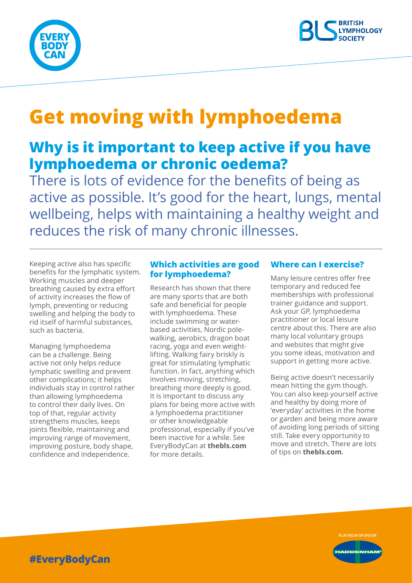



# **Get moving with lymphoedema**

## **Why is it important to keep active if you have lymphoedema or chronic oedema?**

There is lots of evidence for the benefits of being as active as possible. It's good for the heart, lungs, mental wellbeing, helps with maintaining a healthy weight and reduces the risk of many chronic illnesses.

Keeping active also has specific benefits for the lymphatic system. Working muscles and deeper breathing caused by extra effort of activity increases the flow of lymph, preventing or reducing swelling and helping the body to rid itself of harmful substances, such as bacteria.

Managing lymphoedema can be a challenge. Being active not only helps reduce lymphatic swelling and prevent other complications; it helps individuals stay in control rather than allowing lymphoedema to control their daily lives. On top of that, regular activity strengthens muscles, keeps joints flexible, maintaining and improving range of movement, improving posture, body shape, confidence and independence.

#### **Which activities are good for lymphoedema?**

Research has shown that there are many sports that are both safe and beneficial for people with lymphoedema. These include swimming or waterbased activities, Nordic polewalking, aerobics, dragon boat racing, yoga and even weightlifting. Walking fairy briskly is great for stimulating lymphatic function. In fact, anything which involves moving, stretching, breathing more deeply is good. It is important to discuss any plans for being more active with a lymphoedema practitioner or other knowledgeable professional, especially if you've been inactive for a while. See EveryBodyCan at **thebls.com** for more details.

#### **Where can I exercise?**

Many leisure centres offer free temporary and reduced fee memberships with professional trainer guidance and support. Ask your GP, lymphoedema practitioner or local leisure centre about this. There are also many local voluntary groups and websites that might give you some ideas, motivation and support in getting more active.

Being active doesn't necessarily mean hitting the gym though. You can also keep yourself active and healthy by doing more of 'everyday' activities in the home or garden and being more aware of avoiding long periods of sitting still. Take every opportunity to move and stretch. There are lots of tips on **thebls.com**.



**#EveryBodyCan**